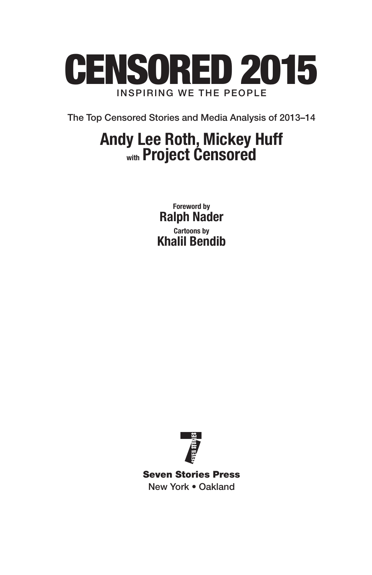

The Top Censored Stories and Media Analysis of 2013–14

## **Andy Lee Roth, Mickey Huff with Project Censored**

**Foreword by Ralph Nader Cartoons by Khalil Bendib**



Seven Stories Press New York • Oakland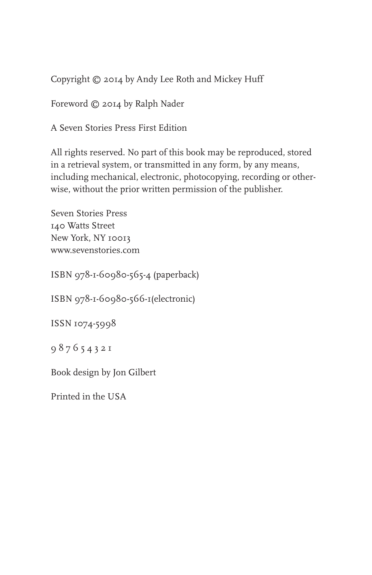Copyright © 2014 by Andy Lee Roth and Mickey Huff

Foreword © 2014 by Ralph Nader

A Seven Stories Press First Edition

All rights reserved. No part of this book may be reproduced, stored in a retrieval system, or transmitted in any form, by any means, including mechanical, electronic, photocopying, recording or otherwise, without the prior written permission of the publisher.

Seven Stories Press 140 Watts Street New York, NY 10013 www.sevenstories.com

ISBN 978-1-60980-565-4 (paperback)

ISBN 978-1-60980-566-1(electronic)

ISSN 1074-5998

9 8 7 6 5 4 3 2 1

Book design by Jon Gilbert

Printed in the USA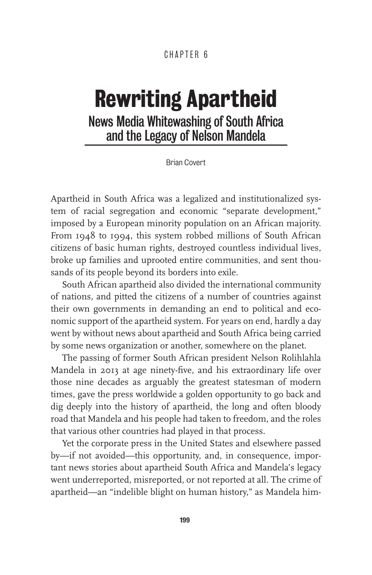## CHAPTER 6

# Rewriting Apartheid News Media Whitewashing of South Africa and the Legacy of Nelson Mandela

Brian Covert

Apartheid in South Africa was a legalized and institutionalized system of racial segregation and economic "separate development," imposed by a European minority population on an African majority. From 1948 to 1994, this system robbed millions of South African citizens of basic human rights, destroyed countless individual lives, broke up families and uprooted entire communities, and sent thousands of its people beyond its borders into exile.

South African apartheid also divided the international community of nations, and pitted the citizens of a number of countries against their own governments in demanding an end to political and economic support of the apartheid system. For years on end, hardly a day went by without news about apartheid and South Africa being carried by some news organization or another, somewhere on the planet.

The passing of former South African president Nelson Rolihlahla Mandela in 2013 at age ninety-five, and his extraordinary life over those nine decades as arguably the greatest statesman of modern times, gave the press worldwide a golden opportunity to go back and dig deeply into the history of apartheid, the long and often bloody road that Mandela and his people had taken to freedom, and the roles that various other countries had played in that process.

Yet the corporate press in the United States and elsewhere passed by—if not avoided—this opportunity, and, in consequence, important news stories about apartheid South Africa and Mandela's legacy went underreported, misreported, or not reported at all. The crime of apartheid—an "indelible blight on human history," as Mandela him-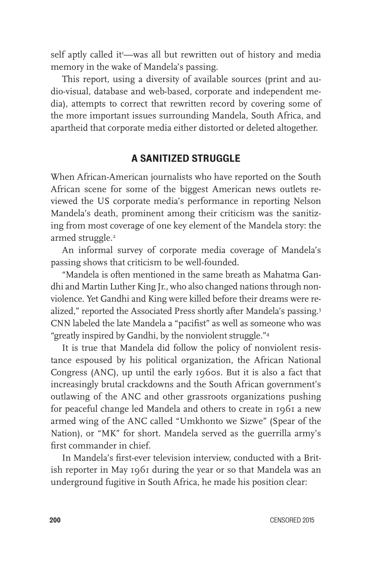self aptly called it<sup>1</sup>—was all but rewritten out of history and media memory in the wake of Mandela's passing.

This report, using a diversity of available sources (print and audio-visual, database and web-based, corporate and independent media), attempts to correct that rewritten record by covering some of the more important issues surrounding Mandela, South Africa, and apartheid that corporate media either distorted or deleted altogether.

## A SANITIZED STRUGGLE

When African-American journalists who have reported on the South African scene for some of the biggest American news outlets reviewed the US corporate media's performance in reporting Nelson Mandela's death, prominent among their criticism was the sanitizing from most coverage of one key element of the Mandela story: the armed struggle.<sup>2</sup>

An informal survey of corporate media coverage of Mandela's passing shows that criticism to be well-founded.

"Mandela is often mentioned in the same breath as Mahatma Gandhi and Martin Luther King Jr., who also changed nations through nonviolence. Yet Gandhi and King were killed before their dreams were realized," reported the Associated Press shortly after Mandela's passing.<sup>3</sup> CNN labeled the late Mandela a "pacifist" as well as someone who was "greatly inspired by Gandhi, by the nonviolent struggle."4

It is true that Mandela did follow the policy of nonviolent resistance espoused by his political organization, the African National Congress (ANC), up until the early 1960s. But it is also a fact that increasingly brutal crackdowns and the South African government's outlawing of the ANC and other grassroots organizations pushing for peaceful change led Mandela and others to create in 1961 a new armed wing of the ANC called "Umkhonto we Sizwe" (Spear of the Nation), or "MK" for short. Mandela served as the guerrilla army's first commander in chief.

In Mandela's first-ever television interview, conducted with a British reporter in May 1961 during the year or so that Mandela was an underground fugitive in South Africa, he made his position clear: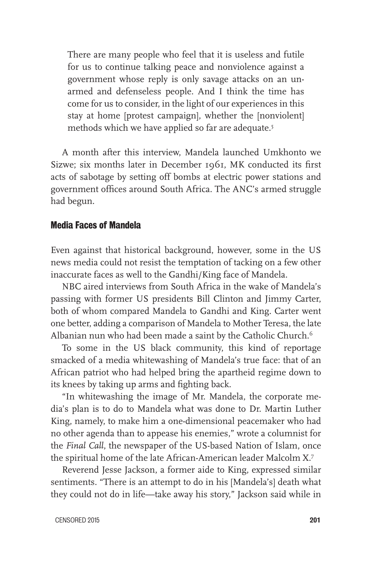There are many people who feel that it is useless and futile for us to continue talking peace and nonviolence against a government whose reply is only savage attacks on an unarmed and defenseless people. And I think the time has come for us to consider, in the light of our experiences in this stay at home [protest campaign], whether the [nonviolent] methods which we have applied so far are adequate.5

A month after this interview, Mandela launched Umkhonto we Sizwe; six months later in December 1961, MK conducted its first acts of sabotage by setting off bombs at electric power stations and government offices around South Africa. The ANC's armed struggle had begun.

## Media Faces of Mandela

Even against that historical background, however, some in the US news media could not resist the temptation of tacking on a few other inaccurate faces as well to the Gandhi/King face of Mandela.

NBC aired interviews from South Africa in the wake of Mandela's passing with former US presidents Bill Clinton and Jimmy Carter, both of whom compared Mandela to Gandhi and King. Carter went one better, adding a comparison of Mandela to Mother Teresa, the late Albanian nun who had been made a saint by the Catholic Church.<sup>6</sup>

To some in the US black community, this kind of reportage smacked of a media whitewashing of Mandela's true face: that of an African patriot who had helped bring the apartheid regime down to its knees by taking up arms and fighting back.

"In whitewashing the image of Mr. Mandela, the corporate media's plan is to do to Mandela what was done to Dr. Martin Luther King, namely, to make him a one-dimensional peacemaker who had no other agenda than to appease his enemies," wrote a columnist for the *Final Call*, the newspaper of the US-based Nation of Islam, once the spiritual home of the late African-American leader Malcolm X.7

Reverend Jesse Jackson, a former aide to King, expressed similar sentiments. "There is an attempt to do in his [Mandela's] death what they could not do in life—take away his story," Jackson said while in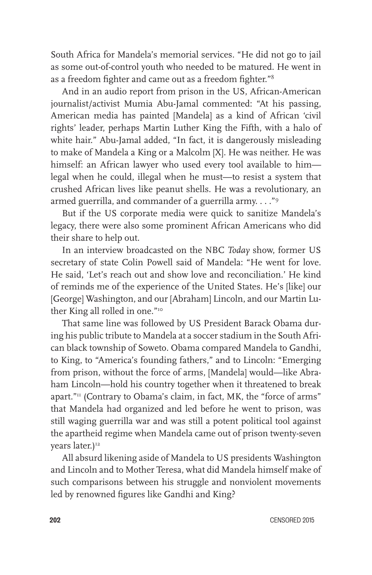South Africa for Mandela's memorial services. "He did not go to jail as some out-of-control youth who needed to be matured. He went in as a freedom fighter and came out as a freedom fighter."8

And in an audio report from prison in the US, African-American journalist/activist Mumia Abu-Jamal commented: "At his passing, American media has painted [Mandela] as a kind of African 'civil rights' leader, perhaps Martin Luther King the Fifth, with a halo of white hair." Abu-Jamal added, "In fact, it is dangerously misleading to make of Mandela a King or a Malcolm [X]. He was neither. He was himself: an African lawyer who used every tool available to him legal when he could, illegal when he must—to resist a system that crushed African lives like peanut shells. He was a revolutionary, an armed guerrilla, and commander of a guerrilla army. . . ."9

But if the US corporate media were quick to sanitize Mandela's legacy, there were also some prominent African Americans who did their share to help out.

In an interview broadcasted on the NBC *Today* show, former US secretary of state Colin Powell said of Mandela: "He went for love. He said, 'Let's reach out and show love and reconciliation.' He kind of reminds me of the experience of the United States. He's [like] our [George] Washington, and our [Abraham] Lincoln, and our Martin Luther King all rolled in one."10

That same line was followed by US President Barack Obama during his public tribute to Mandela at a soccer stadium in the South African black township of Soweto. Obama compared Mandela to Gandhi, to King, to "America's founding fathers," and to Lincoln: "Emerging from prison, without the force of arms, [Mandela] would—like Abraham Lincoln—hold his country together when it threatened to break apart."11 (Contrary to Obama's claim, in fact, MK, the "force of arms" that Mandela had organized and led before he went to prison, was still waging guerrilla war and was still a potent political tool against the apartheid regime when Mandela came out of prison twenty-seven years later.)<sup>12</sup>

All absurd likening aside of Mandela to US presidents Washington and Lincoln and to Mother Teresa, what did Mandela himself make of such comparisons between his struggle and nonviolent movements led by renowned figures like Gandhi and King?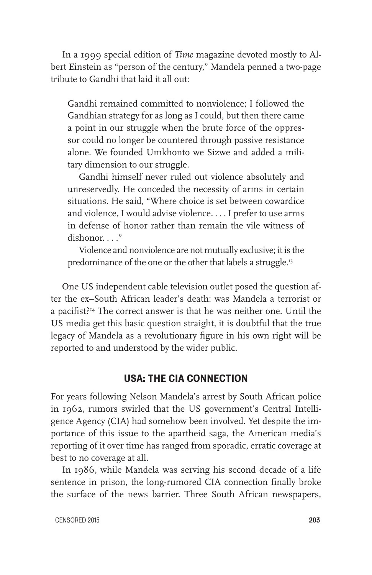In a 1999 special edition of *Time* magazine devoted mostly to Albert Einstein as "person of the century," Mandela penned a two-page tribute to Gandhi that laid it all out:

Gandhi remained committed to nonviolence; I followed the Gandhian strategy for as long as I could, but then there came a point in our struggle when the brute force of the oppressor could no longer be countered through passive resistance alone. We founded Umkhonto we Sizwe and added a military dimension to our struggle.

Gandhi himself never ruled out violence absolutely and unreservedly. He conceded the necessity of arms in certain situations. He said, "Where choice is set between cowardice and violence, I would advise violence. . . . I prefer to use arms in defense of honor rather than remain the vile witness of dishonor. . . ."

Violence and nonviolence are not mutually exclusive; it is the predominance of the one or the other that labels a struggle.<sup>13</sup>

One US independent cable television outlet posed the question after the ex–South African leader's death: was Mandela a terrorist or a pacifist?14 The correct answer is that he was neither one. Until the US media get this basic question straight, it is doubtful that the true legacy of Mandela as a revolutionary figure in his own right will be reported to and understood by the wider public.

## USA: THE CIA CONNECTION

For years following Nelson Mandela's arrest by South African police in 1962, rumors swirled that the US government's Central Intelligence Agency (CIA) had somehow been involved. Yet despite the importance of this issue to the apartheid saga, the American media's reporting of it over time has ranged from sporadic, erratic coverage at best to no coverage at all.

In 1986, while Mandela was serving his second decade of a life sentence in prison, the long-rumored CIA connection finally broke the surface of the news barrier. Three South African newspapers,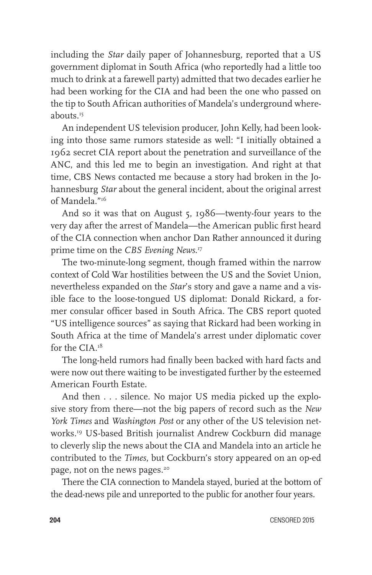including the *Star* daily paper of Johannesburg, reported that a US government diplomat in South Africa (who reportedly had a little too much to drink at a farewell party) admitted that two decades earlier he had been working for the CIA and had been the one who passed on the tip to South African authorities of Mandela's underground whereabouts.<sup>15</sup>

An independent US television producer, John Kelly, had been looking into those same rumors stateside as well: "I initially obtained a 1962 secret CIA report about the penetration and surveillance of the ANC, and this led me to begin an investigation. And right at that time, CBS News contacted me because a story had broken in the Johannesburg *Star* about the general incident, about the original arrest of Mandela."16

And so it was that on August 5, 1986—twenty-four years to the very day after the arrest of Mandela—the American public first heard of the CIA connection when anchor Dan Rather announced it during prime time on the *CBS Evening News*. 17

The two-minute-long segment, though framed within the narrow context of Cold War hostilities between the US and the Soviet Union, nevertheless expanded on the *Star*'s story and gave a name and a visible face to the loose-tongued US diplomat: Donald Rickard, a former consular officer based in South Africa. The CBS report quoted "US intelligence sources" as saying that Rickard had been working in South Africa at the time of Mandela's arrest under diplomatic cover for the CIA.<sup>18</sup>

The long-held rumors had finally been backed with hard facts and were now out there waiting to be investigated further by the esteemed American Fourth Estate.

And then . . . silence. No major US media picked up the explosive story from there—not the big papers of record such as the *New York Times* and *Washington Post* or any other of the US television networks.19 US-based British journalist Andrew Cockburn did manage to cleverly slip the news about the CIA and Mandela into an article he contributed to the *Times*, but Cockburn's story appeared on an op-ed page, not on the news pages.<sup>20</sup>

There the CIA connection to Mandela stayed, buried at the bottom of the dead-news pile and unreported to the public for another four years.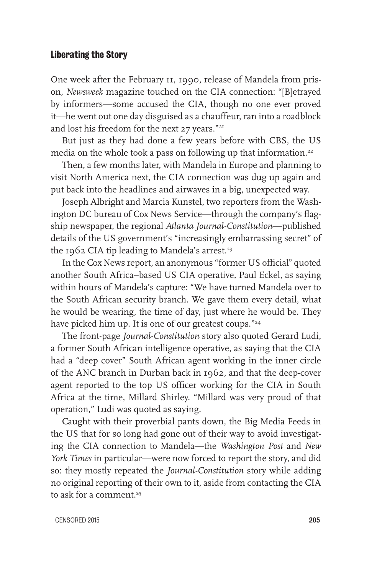### Liberating the Story

One week after the February 11, 1990, release of Mandela from prison, *Newsweek* magazine touched on the CIA connection: "[B]etrayed by informers—some accused the CIA, though no one ever proved it—he went out one day disguised as a chauffeur, ran into a roadblock and lost his freedom for the next 27 years."<sup>21</sup>

But just as they had done a few years before with CBS, the US media on the whole took a pass on following up that information.<sup>22</sup>

Then, a few months later, with Mandela in Europe and planning to visit North America next, the CIA connection was dug up again and put back into the headlines and airwaves in a big, unexpected way.

Joseph Albright and Marcia Kunstel, two reporters from the Washington DC bureau of Cox News Service—through the company's flagship newspaper, the regional *Atlanta Journal-Constitution*—published details of the US government's "increasingly embarrassing secret" of the 1962 CIA tip leading to Mandela's arrest.<sup>23</sup>

In the Cox News report, an anonymous "former US official" quoted another South Africa–based US CIA operative, Paul Eckel, as saying within hours of Mandela's capture: "We have turned Mandela over to the South African security branch. We gave them every detail, what he would be wearing, the time of day, just where he would be. They have picked him up. It is one of our greatest coups."<sup>24</sup>

The front-page *Journal-Constitution* story also quoted Gerard Ludi, a former South African intelligence operative, as saying that the CIA had a "deep cover" South African agent working in the inner circle of the ANC branch in Durban back in 1962, and that the deep-cover agent reported to the top US officer working for the CIA in South Africa at the time, Millard Shirley. "Millard was very proud of that operation," Ludi was quoted as saying.

Caught with their proverbial pants down, the Big Media Feeds in the US that for so long had gone out of their way to avoid investigating the CIA connection to Mandela—the *Washington Post* and *New York Times* in particular—were now forced to report the story, and did so: they mostly repeated the *Journal-Constitution* story while adding no original reporting of their own to it, aside from contacting the CIA to ask for a comment.<sup>25</sup>

CENSORED 2015 205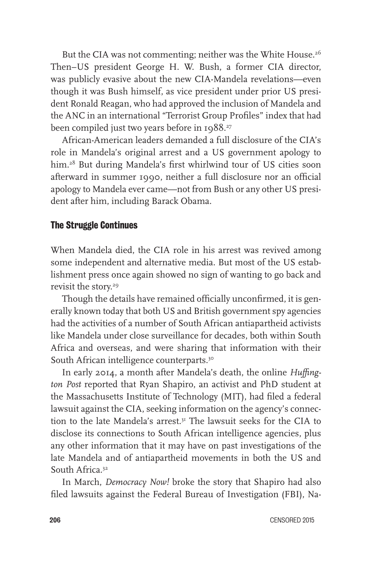But the CIA was not commenting; neither was the White House.<sup>26</sup> Then–US president George H. W. Bush, a former CIA director, was publicly evasive about the new CIA-Mandela revelations—even though it was Bush himself, as vice president under prior US president Ronald Reagan, who had approved the inclusion of Mandela and the ANC in an international "Terrorist Group Profiles" index that had been compiled just two years before in 1988.<sup>27</sup>

African-American leaders demanded a full disclosure of the CIA's role in Mandela's original arrest and a US government apology to him.<sup>28</sup> But during Mandela's first whirlwind tour of US cities soon afterward in summer 1990, neither a full disclosure nor an official apology to Mandela ever came—not from Bush or any other US president after him, including Barack Obama.

## The Struggle Continues

When Mandela died, the CIA role in his arrest was revived among some independent and alternative media. But most of the US establishment press once again showed no sign of wanting to go back and revisit the story.<sup>29</sup>

Though the details have remained officially unconfirmed, it is generally known today that both US and British government spy agencies had the activities of a number of South African antiapartheid activists like Mandela under close surveillance for decades, both within South Africa and overseas, and were sharing that information with their South African intelligence counterparts.<sup>30</sup>

In early 2014, a month after Mandela's death, the online *Huffington Post* reported that Ryan Shapiro, an activist and PhD student at the Massachusetts Institute of Technology (MIT), had filed a federal lawsuit against the CIA, seeking information on the agency's connection to the late Mandela's arrest.<sup>31</sup> The lawsuit seeks for the CIA to disclose its connections to South African intelligence agencies, plus any other information that it may have on past investigations of the late Mandela and of antiapartheid movements in both the US and South Africa.<sup>32</sup>

In March, *Democracy Now!* broke the story that Shapiro had also filed lawsuits against the Federal Bureau of Investigation (FBI), Na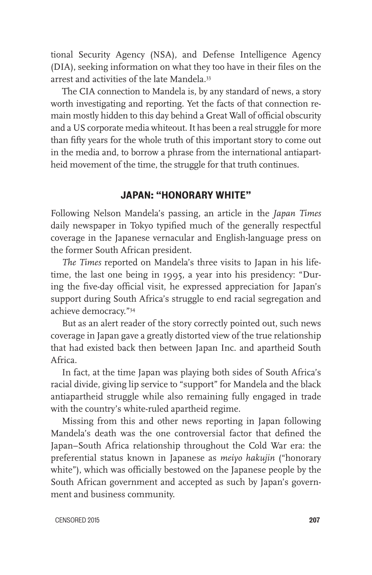tional Security Agency (NSA), and Defense Intelligence Agency (DIA), seeking information on what they too have in their files on the arrest and activities of the late Mandela.33

The CIA connection to Mandela is, by any standard of news, a story worth investigating and reporting. Yet the facts of that connection remain mostly hidden to this day behind a Great Wall of official obscurity and a US corporate media whiteout. It has been a real struggle for more than fifty years for the whole truth of this important story to come out in the media and, to borrow a phrase from the international antiapartheid movement of the time, the struggle for that truth continues.

## JAPAN: "HONORARY WHITE"

Following Nelson Mandela's passing, an article in the *Japan Times* daily newspaper in Tokyo typified much of the generally respectful coverage in the Japanese vernacular and English-language press on the former South African president.

*The Times* reported on Mandela's three visits to Japan in his lifetime, the last one being in 1995, a year into his presidency: "During the five-day official visit, he expressed appreciation for Japan's support during South Africa's struggle to end racial segregation and achieve democracy."34

But as an alert reader of the story correctly pointed out, such news coverage in Japan gave a greatly distorted view of the true relationship that had existed back then between Japan Inc. and apartheid South Africa.

In fact, at the time Japan was playing both sides of South Africa's racial divide, giving lip service to "support" for Mandela and the black antiapartheid struggle while also remaining fully engaged in trade with the country's white-ruled apartheid regime.

Missing from this and other news reporting in Japan following Mandela's death was the one controversial factor that defined the Japan–South Africa relationship throughout the Cold War era: the preferential status known in Japanese as *meiyo hakujin* ("honorary white"), which was officially bestowed on the Japanese people by the South African government and accepted as such by Japan's government and business community.

CENSORED 2015 207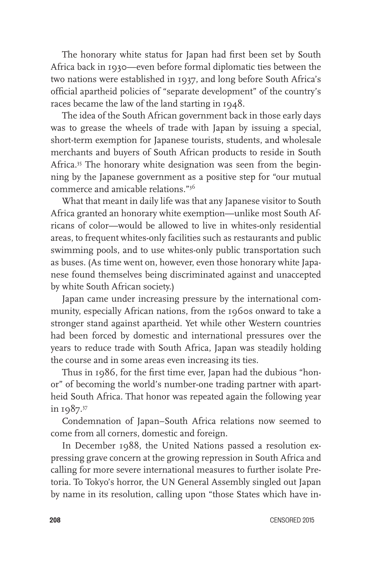The honorary white status for Japan had first been set by South Africa back in 1930—even before formal diplomatic ties between the two nations were established in 1937, and long before South Africa's official apartheid policies of "separate development" of the country's races became the law of the land starting in 1948.

The idea of the South African government back in those early days was to grease the wheels of trade with Japan by issuing a special, short-term exemption for Japanese tourists, students, and wholesale merchants and buyers of South African products to reside in South Africa.35 The honorary white designation was seen from the beginning by the Japanese government as a positive step for "our mutual commerce and amicable relations."36

What that meant in daily life was that any Japanese visitor to South Africa granted an honorary white exemption—unlike most South Africans of color—would be allowed to live in whites-only residential areas, to frequent whites-only facilities such as restaurants and public swimming pools, and to use whites-only public transportation such as buses. (As time went on, however, even those honorary white Japanese found themselves being discriminated against and unaccepted by white South African society.)

Japan came under increasing pressure by the international community, especially African nations, from the 1960s onward to take a stronger stand against apartheid. Yet while other Western countries had been forced by domestic and international pressures over the years to reduce trade with South Africa, Japan was steadily holding the course and in some areas even increasing its ties.

Thus in 1986, for the first time ever, Japan had the dubious "honor" of becoming the world's number-one trading partner with apartheid South Africa. That honor was repeated again the following year in 1987.37

Condemnation of Japan–South Africa relations now seemed to come from all corners, domestic and foreign.

In December 1988, the United Nations passed a resolution expressing grave concern at the growing repression in South Africa and calling for more severe international measures to further isolate Pretoria. To Tokyo's horror, the UN General Assembly singled out Japan by name in its resolution, calling upon "those States which have in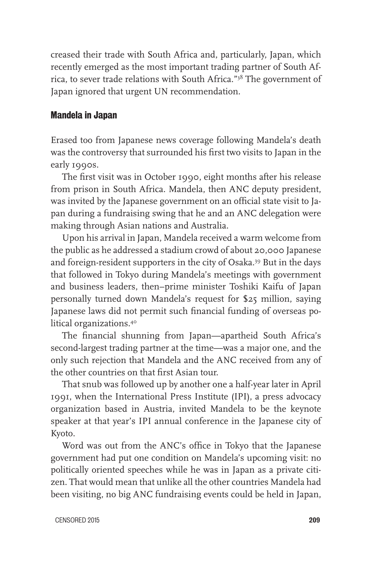creased their trade with South Africa and, particularly, Japan, which recently emerged as the most important trading partner of South Africa, to sever trade relations with South Africa."38 The government of Japan ignored that urgent UN recommendation.

## Mandela in Japan

Erased too from Japanese news coverage following Mandela's death was the controversy that surrounded his first two visits to Japan in the early 1990s.

The first visit was in October 1990, eight months after his release from prison in South Africa. Mandela, then ANC deputy president, was invited by the Japanese government on an official state visit to Japan during a fundraising swing that he and an ANC delegation were making through Asian nations and Australia.

Upon his arrival in Japan, Mandela received a warm welcome from the public as he addressed a stadium crowd of about 20,000 Japanese and foreign-resident supporters in the city of Osaka.<sup>39</sup> But in the days that followed in Tokyo during Mandela's meetings with government and business leaders, then–prime minister Toshiki Kaifu of Japan personally turned down Mandela's request for \$25 million, saying Japanese laws did not permit such financial funding of overseas political organizations.40

The financial shunning from Japan—apartheid South Africa's second-largest trading partner at the time—was a major one, and the only such rejection that Mandela and the ANC received from any of the other countries on that first Asian tour.

That snub was followed up by another one a half-year later in April 1991, when the International Press Institute (IPI), a press advocacy organization based in Austria, invited Mandela to be the keynote speaker at that year's IPI annual conference in the Japanese city of Kyoto.

Word was out from the ANC's office in Tokyo that the Japanese government had put one condition on Mandela's upcoming visit: no politically oriented speeches while he was in Japan as a private citizen. That would mean that unlike all the other countries Mandela had been visiting, no big ANC fundraising events could be held in Japan,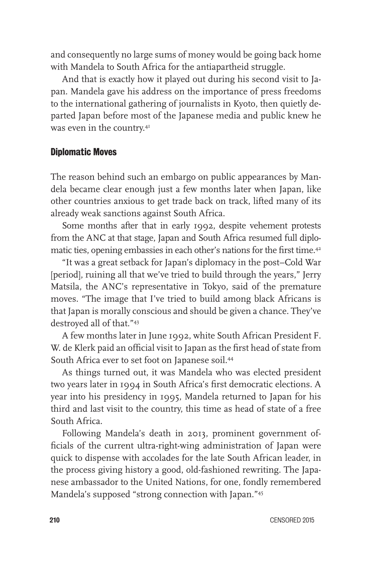and consequently no large sums of money would be going back home with Mandela to South Africa for the antiapartheid struggle.

And that is exactly how it played out during his second visit to Japan. Mandela gave his address on the importance of press freedoms to the international gathering of journalists in Kyoto, then quietly departed Japan before most of the Japanese media and public knew he was even in the country.<sup>41</sup>

## Diplomatic Moves

The reason behind such an embargo on public appearances by Mandela became clear enough just a few months later when Japan, like other countries anxious to get trade back on track, lifted many of its already weak sanctions against South Africa.

Some months after that in early 1992, despite vehement protests from the ANC at that stage, Japan and South Africa resumed full diplomatic ties, opening embassies in each other's nations for the first time.<sup>42</sup>

"It was a great setback for Japan's diplomacy in the post–Cold War [period], ruining all that we've tried to build through the years," Jerry Matsila, the ANC's representative in Tokyo, said of the premature moves. "The image that I've tried to build among black Africans is that Japan is morally conscious and should be given a chance. They've destroyed all of that."43

A few months later in June 1992, white South African President F. W. de Klerk paid an official visit to Japan as the first head of state from South Africa ever to set foot on Japanese soil.44

As things turned out, it was Mandela who was elected president two years later in 1994 in South Africa's first democratic elections. A year into his presidency in 1995, Mandela returned to Japan for his third and last visit to the country, this time as head of state of a free South Africa.

Following Mandela's death in 2013, prominent government officials of the current ultra-right-wing administration of Japan were quick to dispense with accolades for the late South African leader, in the process giving history a good, old-fashioned rewriting. The Japanese ambassador to the United Nations, for one, fondly remembered Mandela's supposed "strong connection with Japan."45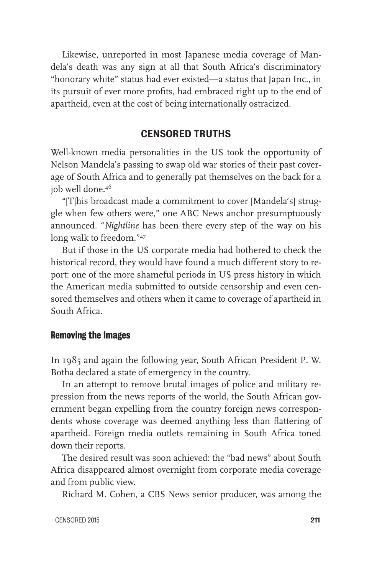Likewise, unreported in most Japanese media coverage of Mandela's death was any sign at all that South Africa's discriminatory "honorary white" status had ever existed—a status that Japan Inc., in its pursuit of ever more profits, had embraced right up to the end of apartheid, even at the cost of being internationally ostracized.

## CENSORED TRUTHS

Well-known media personalities in the US took the opportunity of Nelson Mandela's passing to swap old war stories of their past coverage of South Africa and to generally pat themselves on the back for a job well done.<sup>46</sup>

"[T]his broadcast made a commitment to cover [Mandela's] struggle when few others were," one ABC News anchor presumptuously announced. "*Nightline* has been there every step of the way on his long walk to freedom."47

But if those in the US corporate media had bothered to check the historical record, they would have found a much different story to report: one of the more shameful periods in US press history in which the American media submitted to outside censorship and even censored themselves and others when it came to coverage of apartheid in South Africa.

#### Removing the Images

In 1985 and again the following year, South African President P. W. Botha declared a state of emergency in the country.

In an attempt to remove brutal images of police and military repression from the news reports of the world, the South African government began expelling from the country foreign news correspondents whose coverage was deemed anything less than flattering of apartheid. Foreign media outlets remaining in South Africa toned down their reports.

The desired result was soon achieved: the "bad news" about South Africa disappeared almost overnight from corporate media coverage and from public view.

Richard M. Cohen, a CBS News senior producer, was among the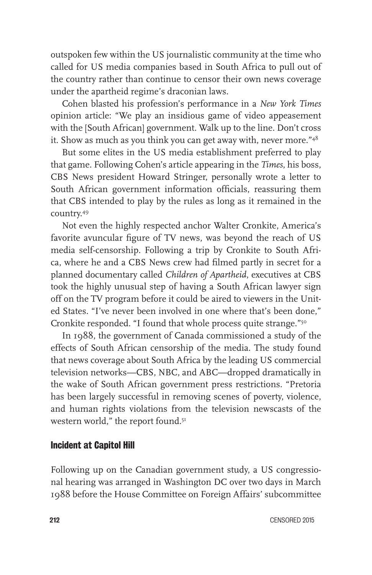outspoken few within the US journalistic community at the time who called for US media companies based in South Africa to pull out of the country rather than continue to censor their own news coverage under the apartheid regime's draconian laws.

Cohen blasted his profession's performance in a *New York Times* opinion article: "We play an insidious game of video appeasement with the [South African] government. Walk up to the line. Don't cross it. Show as much as you think you can get away with, never more."48

But some elites in the US media establishment preferred to play that game. Following Cohen's article appearing in the *Times*, his boss, CBS News president Howard Stringer, personally wrote a letter to South African government information officials, reassuring them that CBS intended to play by the rules as long as it remained in the country.49

Not even the highly respected anchor Walter Cronkite, America's favorite avuncular figure of TV news, was beyond the reach of US media self-censorship. Following a trip by Cronkite to South Africa, where he and a CBS News crew had filmed partly in secret for a planned documentary called *Children of Apartheid*, executives at CBS took the highly unusual step of having a South African lawyer sign off on the TV program before it could be aired to viewers in the United States. "I've never been involved in one where that's been done," Cronkite responded. "I found that whole process quite strange."<sup>50</sup>

In 1988, the government of Canada commissioned a study of the effects of South African censorship of the media. The study found that news coverage about South Africa by the leading US commercial television networks—CBS, NBC, and ABC—dropped dramatically in the wake of South African government press restrictions. "Pretoria has been largely successful in removing scenes of poverty, violence, and human rights violations from the television newscasts of the western world," the report found.<sup>51</sup>

## Incident at Capitol Hill

Following up on the Canadian government study, a US congressional hearing was arranged in Washington DC over two days in March 1988 before the House Committee on Foreign Affairs' subcommittee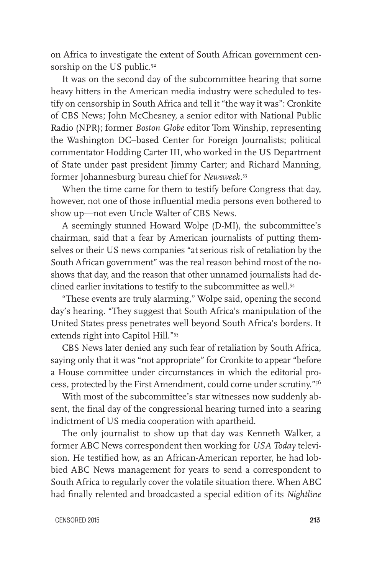on Africa to investigate the extent of South African government censorship on the US public.<sup>52</sup>

It was on the second day of the subcommittee hearing that some heavy hitters in the American media industry were scheduled to testify on censorship in South Africa and tell it "the way it was": Cronkite of CBS News; John McChesney, a senior editor with National Public Radio (NPR); former *Boston Globe* editor Tom Winship, representing the Washington DC–based Center for Foreign Journalists; political commentator Hodding Carter III, who worked in the US Department of State under past president Jimmy Carter; and Richard Manning, former Johannesburg bureau chief for *Newsweek*. 53

When the time came for them to testify before Congress that day, however, not one of those influential media persons even bothered to show up—not even Uncle Walter of CBS News.

A seemingly stunned Howard Wolpe (D-MI), the subcommittee's chairman, said that a fear by American journalists of putting themselves or their US news companies "at serious risk of retaliation by the South African government" was the real reason behind most of the noshows that day, and the reason that other unnamed journalists had declined earlier invitations to testify to the subcommittee as well.54

"These events are truly alarming," Wolpe said, opening the second day's hearing. "They suggest that South Africa's manipulation of the United States press penetrates well beyond South Africa's borders. It extends right into Capitol Hill."55

CBS News later denied any such fear of retaliation by South Africa, saying only that it was "not appropriate" for Cronkite to appear "before a House committee under circumstances in which the editorial process, protected by the First Amendment, could come under scrutiny."56

With most of the subcommittee's star witnesses now suddenly absent, the final day of the congressional hearing turned into a searing indictment of US media cooperation with apartheid.

The only journalist to show up that day was Kenneth Walker, a former ABC News correspondent then working for *USA Today* television. He testified how, as an African-American reporter, he had lobbied ABC News management for years to send a correspondent to South Africa to regularly cover the volatile situation there. When ABC had finally relented and broadcasted a special edition of its *Nightline*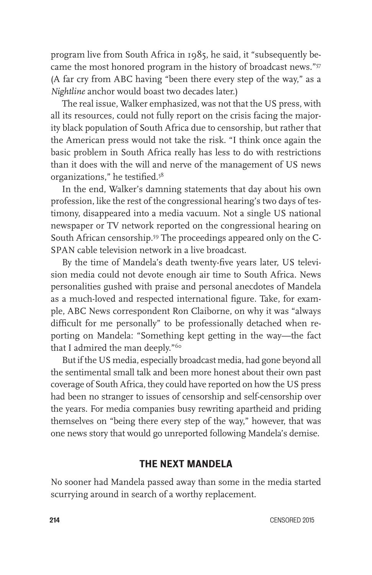program live from South Africa in 1985, he said, it "subsequently became the most honored program in the history of broadcast news."57 (A far cry from ABC having "been there every step of the way," as a *Nightline* anchor would boast two decades later.)

The real issue, Walker emphasized, was not that the US press, with all its resources, could not fully report on the crisis facing the majority black population of South Africa due to censorship, but rather that the American press would not take the risk. "I think once again the basic problem in South Africa really has less to do with restrictions than it does with the will and nerve of the management of US news organizations," he testified.58

In the end, Walker's damning statements that day about his own profession, like the rest of the congressional hearing's two days of testimony, disappeared into a media vacuum. Not a single US national newspaper or TV network reported on the congressional hearing on South African censorship.59 The proceedings appeared only on the C-SPAN cable television network in a live broadcast.

By the time of Mandela's death twenty-five years later, US television media could not devote enough air time to South Africa. News personalities gushed with praise and personal anecdotes of Mandela as a much-loved and respected international figure. Take, for example, ABC News correspondent Ron Claiborne, on why it was "always difficult for me personally" to be professionally detached when reporting on Mandela: "Something kept getting in the way—the fact that I admired the man deeply."<sup>60</sup>

But if the US media, especially broadcast media, had gone beyond all the sentimental small talk and been more honest about their own past coverage of South Africa, they could have reported on how the US press had been no stranger to issues of censorship and self-censorship over the years. For media companies busy rewriting apartheid and priding themselves on "being there every step of the way," however, that was one news story that would go unreported following Mandela's demise.

## THE NEXT MANDELA

No sooner had Mandela passed away than some in the media started scurrying around in search of a worthy replacement.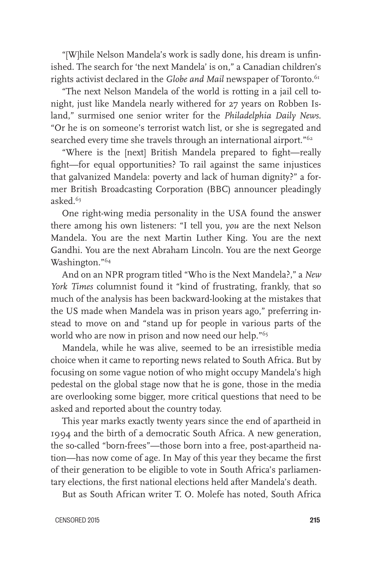"[W]hile Nelson Mandela's work is sadly done, his dream is unfinished. The search for 'the next Mandela' is on," a Canadian children's rights activist declared in the *Globe and Mail* newspaper of Toronto.<sup>61</sup>

"The next Nelson Mandela of the world is rotting in a jail cell tonight, just like Mandela nearly withered for 27 years on Robben Island," surmised one senior writer for the *Philadelphia Daily News*. "Or he is on someone's terrorist watch list, or she is segregated and searched every time she travels through an international airport."<sup>62</sup>

"Where is the [next] British Mandela prepared to fight—really fight—for equal opportunities? To rail against the same injustices that galvanized Mandela: poverty and lack of human dignity?" a former British Broadcasting Corporation (BBC) announcer pleadingly asked. $63$ 

One right-wing media personality in the USA found the answer there among his own listeners: "I tell you, *you* are the next Nelson Mandela. You are the next Martin Luther King. You are the next Gandhi. You are the next Abraham Lincoln. You are the next George Washington."64

And on an NPR program titled "Who is the Next Mandela?," a *New York Times* columnist found it "kind of frustrating, frankly, that so much of the analysis has been backward-looking at the mistakes that the US made when Mandela was in prison years ago," preferring instead to move on and "stand up for people in various parts of the world who are now in prison and now need our help."65

Mandela, while he was alive, seemed to be an irresistible media choice when it came to reporting news related to South Africa. But by focusing on some vague notion of who might occupy Mandela's high pedestal on the global stage now that he is gone, those in the media are overlooking some bigger, more critical questions that need to be asked and reported about the country today.

This year marks exactly twenty years since the end of apartheid in 1994 and the birth of a democratic South Africa. A new generation, the so-called "born-frees"—those born into a free, post-apartheid nation—has now come of age. In May of this year they became the first of their generation to be eligible to vote in South Africa's parliamentary elections, the first national elections held after Mandela's death.

But as South African writer T. O. Molefe has noted, South Africa

CENSORED 2015 215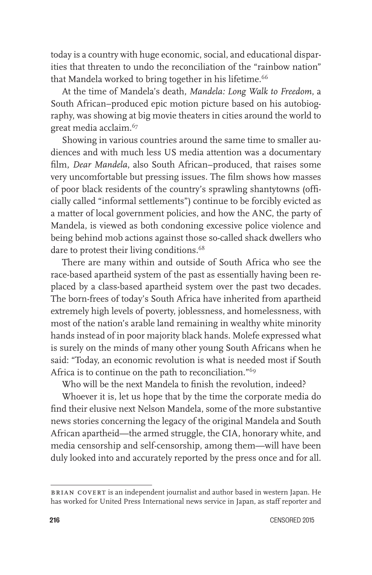today is a country with huge economic, social, and educational disparities that threaten to undo the reconciliation of the "rainbow nation" that Mandela worked to bring together in his lifetime.<sup>66</sup>

At the time of Mandela's death, *Mandela: Long Walk to Freedom*, a South African–produced epic motion picture based on his autobiography, was showing at big movie theaters in cities around the world to great media acclaim.67

Showing in various countries around the same time to smaller audiences and with much less US media attention was a documentary film, *Dear Mandela*, also South African–produced, that raises some very uncomfortable but pressing issues. The film shows how masses of poor black residents of the country's sprawling shantytowns (officially called "informal settlements") continue to be forcibly evicted as a matter of local government policies, and how the ANC, the party of Mandela, is viewed as both condoning excessive police violence and being behind mob actions against those so-called shack dwellers who dare to protest their living conditions.<sup>68</sup>

There are many within and outside of South Africa who see the race-based apartheid system of the past as essentially having been replaced by a class-based apartheid system over the past two decades. The born-frees of today's South Africa have inherited from apartheid extremely high levels of poverty, joblessness, and homelessness, with most of the nation's arable land remaining in wealthy white minority hands instead of in poor majority black hands. Molefe expressed what is surely on the minds of many other young South Africans when he said: "Today, an economic revolution is what is needed most if South Africa is to continue on the path to reconciliation."69

Who will be the next Mandela to finish the revolution, indeed?

Whoever it is, let us hope that by the time the corporate media do find their elusive next Nelson Mandela, some of the more substantive news stories concerning the legacy of the original Mandela and South African apartheid—the armed struggle, the CIA, honorary white, and media censorship and self-censorship, among them—will have been duly looked into and accurately reported by the press once and for all.

BRIAN COVERT is an independent journalist and author based in western Japan. He has worked for United Press International news service in Japan, as staff reporter and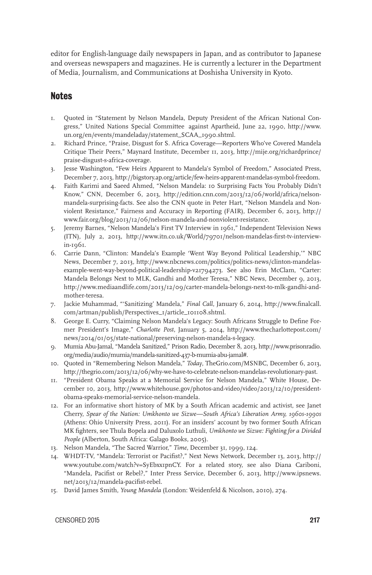editor for English-language daily newspapers in Japan, and as contributor to Japanese and overseas newspapers and magazines. He is currently a lecturer in the Department of Media, Journalism, and Communications at Doshisha University in Kyoto.

## **Notes**

- 1. Quoted in "Statement by Nelson Mandela, Deputy President of the African National Congress," United Nations Special Committee against Apartheid, June 22, 1990, http://www. un.org/en/events/mandeladay/statement\_SCAA\_1990.shtml.
- 2. Richard Prince, "Praise, Disgust for S. Africa Coverage—Reporters Who've Covered Mandela Critique Their Peers," Maynard Institute, December 11, 2013, http://mije.org/richardprince/ praise-disgust-s-africa-coverage.
- 3. Jesse Washington, "Few Heirs Apparent to Mandela's Symbol of Freedom," Associated Press, December 7, 2013, http://bigstory.ap.org/article/few-heirs-apparent-mandelas-symbol-freedom.
- 4. Faith Karimi and Saeed Ahmed, "Nelson Mandela: 10 Surprising Facts You Probably Didn't Know," CNN, December 6, 2013, http://edition.cnn.com/2013/12/06/world/africa/nelsonmandela-surprising-facts. See also the CNN quote in Peter Hart, "Nelson Mandela and Nonviolent Resistance," Fairness and Accuracy in Reporting (FAIR), December 6, 2013, http:// www.fair.org/blog/2013/12/06/nelson-mandela-and-nonviolent-resistance.
- 5. Jeremy Barnes, "Nelson Mandela's First TV Interview in 1961," Independent Television News (ITN), July 2, 2013, http://www.itn.co.uk/World/79701/nelson-mandelas-first-tv-interviewin-1961.
- 6. Carrie Dann, "Clinton: Mandela's Example 'Went Way Beyond Political Leadership,'" NBC News, December 7, 2013, http://www.nbcnews.com/politics/politics-news/clinton-mandelasexample-went-way-beyond-political-leadership-v21794273. See also Erin McClam, "Carter: Mandela Belongs Next to MLK, Gandhi and Mother Teresa," NBC News, December 9, 2013, http://www.mediaandlife.com/2013/12/09/carter-mandela-belongs-next-to-mlk-gandhi-andmother-teresa.
- 7. Jackie Muhammad, "'Sanitizing' Mandela," *Final Call*, January 6, 2014, http://www.finalcall. com/artman/publish/Perspectives\_1/article\_101108.shtml.
- 8. George E. Curry, "Claiming Nelson Mandela's Legacy: South Africans Struggle to Define Former President's Image," *Charlotte Post*, January 5, 2014, http://www.thecharlottepost.com/ news/2014/01/05/state-national/preserving-nelson-mandela-s-legacy.
- 9. Mumia Abu-Jamal, "Mandela Sanitized," Prison Radio, December 8, 2013, http://www.prisonradio. org/media/audio/mumia/mandela-sanitized-437-b-mumia-abu-jamal#.
- 10. Quoted in "Remembering Nelson Mandela," *Today*, TheGrio.com/MSNBC, December 6, 2013, http://thegrio.com/2013/12/06/why-we-have-to-celebrate-nelson-mandelas-revolutionary-past.
- 11. "President Obama Speaks at a Memorial Service for Nelson Mandela," White House, December 10, 2013, http://www.whitehouse.gov/photos-and-video/video/2013/12/10/presidentobama-speaks-memorial-service-nelson-mandela.
- 12. For an informative short history of MK by a South African academic and activist, see Janet Cherry, *Spear of the Nation: Umkhonto we Sizwe—South Africa's Liberation Army, 1960s-1990s* (Athens: Ohio University Press, 2011). For an insiders' account by two former South African MK fighters, see Thula Bopela and Daluxolo Luthuli, *Umkhonto we Sizwe: Fighting for a Divided People* (Alberton, South Africa: Galago Books, 2005).
- 13. Nelson Mandela, "The Sacred Warrior," *Time*, December 31, 1999, 124.
- 14. WHDT-TV, "Mandela: Terrorist or Pacifist?," Next News Network, December 13, 2013, http:// www.youtube.com/watch?v=SyEbxx1pnCY. For a related story, see also Diana Cariboni, "Mandela, Pacifist or Rebel?," Inter Press Service, December 6, 2013, http://www.ipsnews. net/2013/12/mandela-pacifist-rebel.
- 15. David James Smith, *Young Mandela* (London: Weidenfeld & Nicolson, 2010), 274.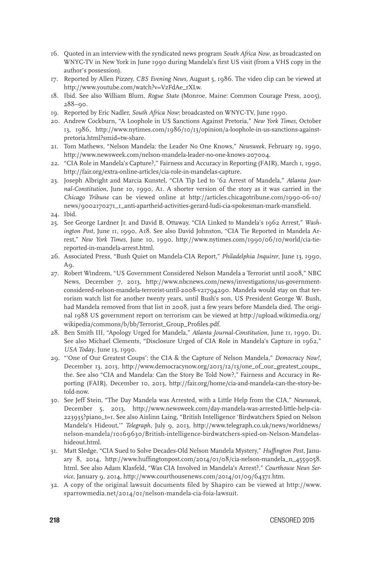- 16. Quoted in an interview with the syndicated news program *South Africa Now*, as broadcasted on WNYC-TV in New York in June 1990 during Mandela's first US visit (from a VHS copy in the author's possession).
- 17. Reported by Allen Pizzey, *CBS Evening News*, August 5, 1986. The video clip can be viewed at http://www.youtube.com/watch?v=VzFdAe\_rXLw.
- 18. Ibid. See also William Blum, *Rogue State* (Monroe, Maine: Common Courage Press, 2005), 288–90.
- 19. Reported by Eric Nadler, *South Africa Now*; broadcasted on WNYC-TV, June 1990.
- 20. Andrew Cockburn, "A Loophole in US Sanctions Against Pretoria," *New York Times*, October 13, 1986, http://www.nytimes.com/1986/10/13/opinion/a-loophole-in-us-sanctions-againstpretoria.html?smid=tw-share.
- 21. Tom Mathews, "Nelson Mandela: the Leader No One Knows," *Newsweek*, February 19, 1990, http://www.newsweek.com/nelson-mandela-leader-no-one-knows-207004.
- 22. "CIA Role in Mandela's Capture?," Fairness and Accuracy in Reporting (FAIR), March 1, 1990, http://fair.org/extra-online-articles/cia-role-in-mandelas-capture.
- 23. Joseph Albright and Marcia Kunstel, "CIA Tip Led to '62 Arrest of Mandela," *Atlanta Journal-Constitution*, June 10, 1990, A1. A shorter version of the story as it was carried in the *Chicago Tribune* can be viewed online at http://articles.chicagotribune.com/1990-06-10/ news/9002170271\_1\_anti-apartheid-activities-gerard-ludi-cia-spokesman-mark-mansfield.
- 24. Ibid.
- 25. See George Lardner Jr. and David B. Ottaway, "CIA Linked to Mandela's 1962 Arrest," *Washington Post*, June 11, 1990, A18. See also David Johnston, "CIA Tie Reported in Mandela Arrest," *New York Times*, June 10, 1990, http://www.nytimes.com/1990/06/10/world/cia-tiereported-in-mandela-arrest.html.
- 26. Associated Press, "Bush Quiet on Mandela-CIA Report," *Philadelphia Inquirer*, June 13, 1990, A<sub>9</sub>.
- 27. Robert Windrem, "US Government Considered Nelson Mandela a Terrorist until 2008," NBC News, December 7, 2013, http://www.nbcnews.com/news/investigations/us-governmentconsidered-nelson-mandela-terrorist-until-2008-v21794290. Mandela would stay on that terrorism watch list for another twenty years, until Bush's son, US President George W. Bush, had Mandela removed from that list in 2008, just a few years before Mandela died. The original 1988 US government report on terrorism can be viewed at http://upload.wikimedia.org/ wikipedia/commons/b/bb/Terrorist\_Group\_Profiles.pdf.
- 28. Ben Smith III, "Apology Urged for Mandela," *Atlanta Journal-Constitution*, June 11, 1990, D1. See also Michael Clements, "Disclosure Urged of CIA Role in Mandela's Capture in 1962," *USA Today*, June 13, 1990.
- 29. "'One of Our Greatest Coups': the CIA & the Capture of Nelson Mandela," *Democracy Now!*, December 13, 2013, http://www.democracynow.org/2013/12/13/one\_of\_our\_greatest\_coups\_ the. See also "CIA and Mandela: Can the Story Be Told Now?," Fairness and Accuracy in Reporting (FAIR), December 10, 2013, http://fair.org/home/cia-and-mandela-can-the-story-betold-now.
- 30. See Jeff Stein, "The Day Mandela was Arrested, with a Little Help from the CIA," *Newsweek*, December 5, 2013, http://www.newsweek.com/day-mandela-was-arrested-little-help-cia-223935?piano\_t=1. See also Aislinn Laing, "British Intelligence 'Birdwatchers Spied on Nelson Mandela's Hideout,'" *Telegraph*, July 9, 2013, http://www.telegraph.co.uk/news/worldnews/ nelson-mandela/10169630/British-intelligence-birdwatchers-spied-on-Nelson-Mandelashideout.html.
- 31. Matt Sledge, "CIA Sued to Solve Decades-Old Nelson Mandela Mystery," *Huffington Post*, January 8, 2014, http://www.huffingtonpost.com/2014/01/08/cia-nelson-mandela\_n\_4559058. html. See also Adam Klasfeld, "Was CIA Involved in Mandela's Arrest?," *Courthouse News Service*, January 9, 2014, http://www.courthousenews.com/2014/01/09/64371.htm.
- 32. A copy of the original lawsuit documents filed by Shapiro can be viewed at http://www. sparrowmedia.net/2014/01/nelson-mandela-cia-foia-lawsuit.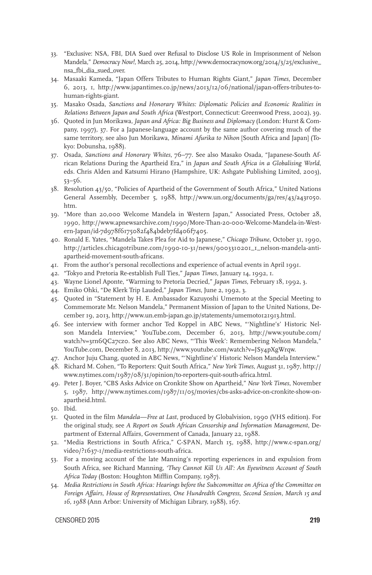- 33. "Exclusive: NSA, FBI, DIA Sued over Refusal to Disclose US Role in Imprisonment of Nelson Mandela," *Democracy Now!*, March 25, 2014, http://www.democracynow.org/2014/3/25/exclusive\_ nsa\_fbi\_dia\_sued\_over.
- 34. Masaaki Kameda, "Japan Offers Tributes to Human Rights Giant," *Japan Times*, December 6, 2013, 1, http://www.japantimes.co.jp/news/2013/12/06/national/japan-offers-tributes-tohuman-rights-giant.
- 35. Masako Osada, *Sanctions and Honorary Whites: Diplomatic Policies and Economic Realities in Relations Between Japan and South Africa* (Westport, Connecticut: Greenwood Press, 2002), 39.
- 36. Quoted in Jun Morikawa, *Japan and Africa: Big Business and Diplomacy* (London: Hurst & Company, 1997), 37. For a Japanese-language account by the same author covering much of the same territory, see also Jun Morikawa, *Minami Afurika to Nihon* [South Africa and Japan] (Tokyo: Dobunsha, 1988).
- 37. Osada, *Sanctions and Honorary Whites*, 76–77. See also Masako Osada, "Japanese-South African Relations During the Apartheid Era," in *Japan and South Africa in a Globalising World*, eds. Chris Alden and Katsumi Hirano (Hampshire, UK: Ashgate Publishing Limited, 2003), 53–56.
- 38. Resolution 43/50, "Policies of Apartheid of the Government of South Africa," United Nations General Assembly, December 5, 1988, http://www.un.org/documents/ga/res/43/a43r050. htm.
- 39. "More than 20,000 Welcome Mandela in Western Japan," Associated Press, October 28, 1990, http://www.apnewsarchive.com/1990/More-Than-20-000-Welcome-Mandela-in-Western-Japan/id-7d978f6175082f484bdeb7fd406f7405.
- 40. Ronald E. Yates, "Mandela Takes Plea for Aid to Japanese," *Chicago Tribune*, October 31, 1990, http://articles.chicagotribune.com/1990-10-31/news/9003310201\_1\_nelson-mandela-antiapartheid-movement-south-africans.
- 41. From the author's personal recollections and experience of actual events in April 1991.
- 42. "Tokyo and Pretoria Re-establish Full Ties," *Japan Times*, January 14, 1992, 1.
- 43. Wayne Lionel Aponte, "Warming to Pretoria Decried," *Japan Times*, February 18, 1992, 3.
- 44. Emiko Ohki, "De Klerk Trip Lauded," *Japan Times*, June 2, 1992, 3.
- 45. Quoted in "Statement by H. E. Ambassador Kazuyoshi Umemoto at the Special Meeting to Commemorate Mr. Nelson Mandela," Permanent Mission of Japan to the United Nations, December 19, 2013, http://www.un.emb-japan.go.jp/statements/umemoto121913.html.
- 46. See interview with former anchor Ted Koppel in ABC News, "'Nightline's' Historic Nelson Mandela Interview," YouTube.com, December 6, 2013, http://www.youtube.com/ watch?v=3rn6QC27cz0. See also ABC News, "'This Week': Remembering Nelson Mandela," YouTube.com, December 8, 2013, http://www.youtube.com/watch?v=JSy4pXgWrqw.
- 47. Anchor Juju Chang, quoted in ABC News, "'Nightline's' Historic Nelson Mandela Interview."
- 48. Richard M. Cohen, "To Reporters: Quit South Africa," *New York Times*, August 31, 1987, http:// www.nytimes.com/1987/08/31/opinion/to-reporters-quit-south-africa.html.
- 49. Peter J. Boyer, "CBS Asks Advice on Cronkite Show on Apartheid," *New York Times*, November 5, 1987, http://www.nytimes.com/1987/11/05/movies/cbs-asks-advice-on-cronkite-show-onapartheid.html.
- 50. Ibid.
- 51. Quoted in the film *Mandela—Free at Last*, produced by Globalvision, 1990 (VHS edition). For the original study, see *A Report on South African Censorship and Information Management*, Department of External Affairs, Government of Canada, January 22, 1988.
- 52. "Media Restrictions in South Africa," C-SPAN, March 15, 1988, http://www.c-span.org/ video/?1637-1/media-restrictions-south-africa.
- 53. For a moving account of the late Manning's reporting experiences in and expulsion from South Africa, see Richard Manning, *'They Cannot Kill Us All': An Eyewitness Account of South Africa Today* (Boston: Houghton Mifflin Company, 1987).
- 54. *Media Restrictions in South Africa: Hearings before the Subcommittee on Africa of the Committee on Foreign Affairs, House of Representatives, One Hundredth Congress, Second Session, March 15 and 16, 1988* (Ann Arbor: University of Michigan Library, 1988), 167.

CENSORED 2015 219